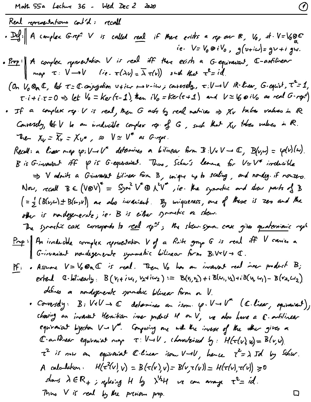| Red        | 1. 20.17                                                                                                         | 1. 11.18 |
|------------|------------------------------------------------------------------------------------------------------------------|----------|
| 2.20.17    | A complex Group <sup>2</sup> V is called real if the exists a repare R, V <sub>0</sub> , $d \cdot V = V_0$ of C. |          |
| 2.20.17    | A complex approach for V is real iff the each R, a G-equation. A G-diplication                                   |          |
| 2.20.18    | 2.20.18                                                                                                          | 3.21.18  |
| 2.21.19    | 2.22.19                                                                                                          |          |
| 2.23.10    | 3.21.19                                                                                                          |          |
| 2.24.11    | 3.21.19                                                                                                          |          |
| 2.25.10    | 3.21.10                                                                                                          |          |
| 2.26.11.11 |                                                                                                                  |          |
| 2.27.12.12 |                                                                                                                  |          |
| 2.28.13    |                                                                                                                  |          |
| 2.29.14    |                                                                                                                  |          |
| 2.20.15    |                                                                                                                  |          |
| 2.20.16    |                                                                                                                  |          |
| 2.20.17    |                                                                                                                  |          |
| 2.20.18    |                                                                                                                  |          |
| 2.20.19    |                                                                                                                  |          |
| 2.20.10    |                                                                                                                  |          |
| 2.20.11    |                                                                                                                  |          |
| 2.20.12    |                                                                                                                  |          |
| 2.20.13    |                                                                                                                  |          |
| 2.20.14    |                                                                                                                  |          |
| 2.20.15    |                                                                                                                  |          |
| 2.20.16    |                                                                                                                  |          |
| 2.20.17    |                                                                                                                  |          |
| 2.20.18    |                                                                                                                  |          |
| 2.20.19    |                                                                                                                  |          |
| 2.20.19    |                                                                                                                  |          |
| 2.20.19    |                                                                                                                  |          |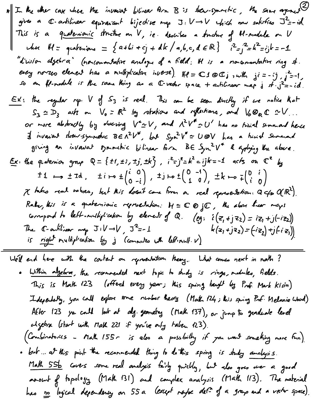The the other case the invariant bilinear form B is the  
\ngives a C-adilinear equivalent biljective map 
$$
3:V \rightarrow V
$$
 which must satisfy  $3^2-16$   
\nThis is a quadratic function on V, ie. describes a through H-module on V  
\nthat H = parhominus = {a+bi+cj+dk/a,b,c,dER}  $i^2-j^2=k^2=ijk=-1$   
\n"divition algebra" (noncomulation and  
\neeg norzo elements has a multiplicative integral. If x a noncommutative ring of  
\neeg norzo elements has a multiplicative integral. If z = 30Cj, with  $ji^2 = -1$ ,  
\nso an H-module in the same thing are a Crvedor space + arbitrary map if  $j^2 = -i$ ,  
\n $S_3 \simeq D_3$  with m. V<sub>0</sub> = R<sup>2</sup> by arbitrary and following if we make the  
\n $S_3 \simeq D_3$  with m. V<sub>0</sub> = R<sup>2</sup> by arbitrary and the second  
\n $S_3 \simeq D_3$  with m. V<sub>0</sub> = R<sup>2</sup> by arbitrary and the second  
\n $S_3 \simeq D_3$  with m. V<sub>0</sub> = R<sup>2</sup> by arbitrary and A<sup>2</sup>V<sup>2</sup> = U' has no initial sumand  
\ngiving an invariant symmetry, but  $S_3r^2V^* \simeq U \otimes V$  has a third summand  
\ngiving an invariant symmetric bilinear form B is  $S_3r^2V^* \simeq U \otimes V$  has a third summand  
\ngiving an integral,  $1 + r^2 + 1$ ,  $1 + r^2 + 1$ ,  $1 + r^2 + 1$ ,  $1 + r^2 + 1$ ,  $1 + r^2 + 1$  and  $1 + r^2 + 1$   
\n $1 + r^2 + 1$ ,  $1 + r^2 + 1$ ,  $1 + r^2 + 1$ ,  $1 + r^2 + 1$   
\n $1 + r^2 + 1$ ,  $1 + r^2 + 1$ ,  $1 + r^2 + 1$   
\n $1 + r^2 + 1$ ,  $1 + r^2 + 1$   
\n $1 + r^2 + 1$ ,  $1 + r^2 + 1$   
\n $1 + r^2 + 1$ 

We'll end here with the content on reproentation theory. What comes next in math?

. Within algebra, the reconneaded next topic to study is rings, modules, fields. This is Math 123 (offered every year; this spring taught by Prof. Mark Kisin) Independently, you could explore some number heavy (Math 124; this spring Prof. Melanie Wood) After 123 you could look at alg. geometry (Math 137), or jump to graduate level algebra (start with Math 221 if you've only taken 123). (Combinatorics - Malh 155 - is also a possbilly if you want something more fun). . but ... at this point the reconnerded thing to dothis spring is study analysis. Malh 55b covers some real analysis fairly quickly, but also goes over a good arount of topology (Mak 131) and complex analysis (Mak 113). The material has no logical dependency on 55 a (except naybe det of a grays and a vector space).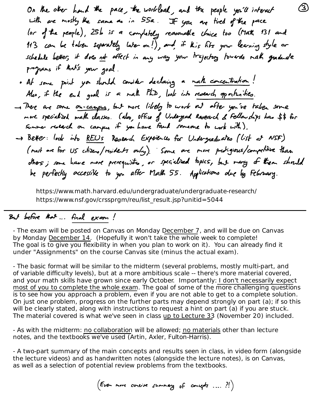https://www.math.harvard.edu/undergraduate/undergraduate-research/ https://www.nsf.gov/crssprgm/reu/list\_result.jsp?unitid=5044

## But before that ... final exam!

- The exam will be posted on Canvas on Monday December 7, and will be due on Canvas by Monday December 14. (Hopefully it won't take the whole week to complete! The goal is to give you flexibility in when you plan to work on it). You can already find it under "Assignments" on the course Canvas site (minus the actual exam).

- The basic format will be similar to the midterm (several problems, mostly multi-part, and of variable difficulty levels), but at a more ambitious scale -- there's more material covered, and your math skills have grown since early October. Importantly: I don't necessarily expect most of you to complete the whole exam. The goal of some of the more challenging questions is to see how you approach a problem, even if you are not able to get to a complete solution. On just one problem, progress on the further parts may depend strongly on part (a); if so this will be clearly stated, along with instructions to request a hint on part (a) if you are stuck. The material covered is what we've seen in class up to Lecture 33 (November 20) included.

- As with the midterm: no collaboration will be allowed; no materials other than lecture notes, and the textbooks we've used (Artin, Axler, Fulton-Harris).

- A two-part summary of the main concepts and results seen in class, in video form (alongside the lecture videos) and as handwritten notes (alongside the lecture notes), is on Canvas, as well as a selection of potential review problems from the textbooks.

(Even more concise summary of concepts .... ? !)